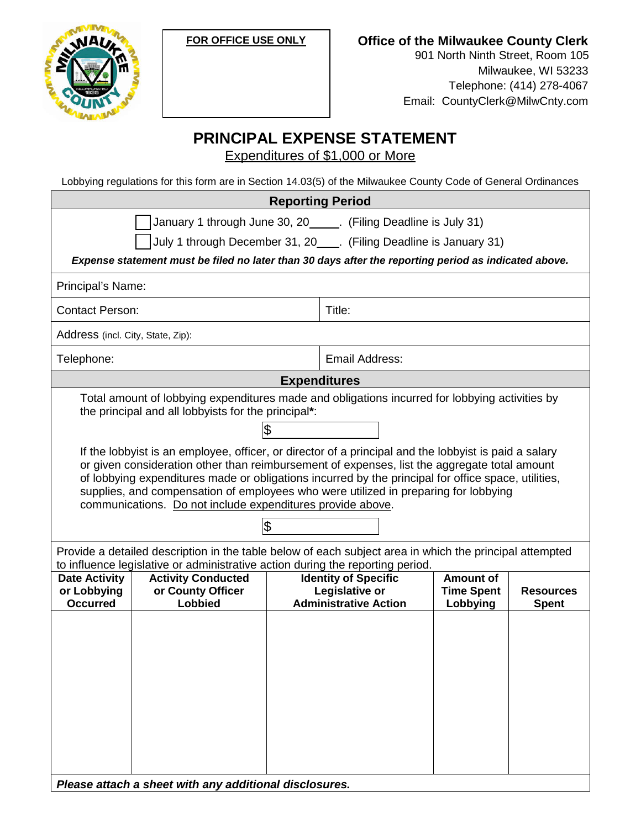



**Office of the Milwaukee County Clerk**

901 North Ninth Street, Room 105 Milwaukee, WI 53233 Telephone: (414) 278-4067 Email: CountyClerk@MilwCnty.com

## **PRINCIPAL EXPENSE STATEMENT**

Expenditures of \$1,000 or More

Lobbying regulations for this form are in Section 14.03(5) of the Milwaukee County Code of General Ordinances

| <b>Reporting Period</b>                                                                                                                                                                                                                                                                                                                                                                                                                                                 |                                                                                                                                                                        |  |  |
|-------------------------------------------------------------------------------------------------------------------------------------------------------------------------------------------------------------------------------------------------------------------------------------------------------------------------------------------------------------------------------------------------------------------------------------------------------------------------|------------------------------------------------------------------------------------------------------------------------------------------------------------------------|--|--|
| January 1 through June 30, 20______. (Filing Deadline is July 31)                                                                                                                                                                                                                                                                                                                                                                                                       |                                                                                                                                                                        |  |  |
| July 1 through December 31, 20____. (Filing Deadline is January 31)                                                                                                                                                                                                                                                                                                                                                                                                     |                                                                                                                                                                        |  |  |
| Expense statement must be filed no later than 30 days after the reporting period as indicated above.                                                                                                                                                                                                                                                                                                                                                                    |                                                                                                                                                                        |  |  |
| Principal's Name:                                                                                                                                                                                                                                                                                                                                                                                                                                                       |                                                                                                                                                                        |  |  |
| <b>Contact Person:</b>                                                                                                                                                                                                                                                                                                                                                                                                                                                  | Title:                                                                                                                                                                 |  |  |
| Address (incl. City, State, Zip):                                                                                                                                                                                                                                                                                                                                                                                                                                       |                                                                                                                                                                        |  |  |
| Telephone:                                                                                                                                                                                                                                                                                                                                                                                                                                                              | Email Address:                                                                                                                                                         |  |  |
| <b>Expenditures</b>                                                                                                                                                                                                                                                                                                                                                                                                                                                     |                                                                                                                                                                        |  |  |
| Total amount of lobbying expenditures made and obligations incurred for lobbying activities by<br>the principal and all lobbyists for the principal*:                                                                                                                                                                                                                                                                                                                   |                                                                                                                                                                        |  |  |
| \$                                                                                                                                                                                                                                                                                                                                                                                                                                                                      |                                                                                                                                                                        |  |  |
| If the lobbyist is an employee, officer, or director of a principal and the lobbyist is paid a salary<br>or given consideration other than reimbursement of expenses, list the aggregate total amount<br>of lobbying expenditures made or obligations incurred by the principal for office space, utilities,<br>supplies, and compensation of employees who were utilized in preparing for lobbying<br>communications. Do not include expenditures provide above.<br>\$ |                                                                                                                                                                        |  |  |
| Provide a detailed description in the table below of each subject area in which the principal attempted<br>to influence legislative or administrative action during the reporting period.                                                                                                                                                                                                                                                                               |                                                                                                                                                                        |  |  |
| <b>Activity Conducted</b><br><b>Date Activity</b><br>or County Officer<br>or Lobbying<br>Lobbied<br><b>Occurred</b>                                                                                                                                                                                                                                                                                                                                                     | <b>Identity of Specific</b><br><b>Amount of</b><br>Legislative or<br><b>Time Spent</b><br><b>Resources</b><br><b>Administrative Action</b><br>Lobbying<br><b>Spent</b> |  |  |
| Please attach a sheet with any additional disclosures.                                                                                                                                                                                                                                                                                                                                                                                                                  |                                                                                                                                                                        |  |  |